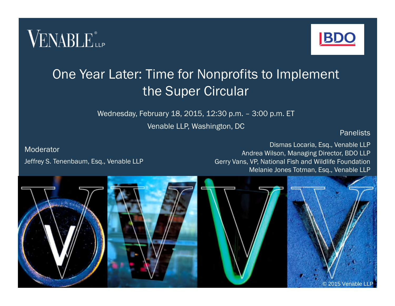



#### One Year Later: Time for Nonprofits to Implement the Super Circular

Wednesday, February 18, 2015, 12:30 p.m. – 3:00 p.m. ET

Venable LLP, Washington, DC

**Panelists** 

Moderator Jeffrey S. Tenenbaum, Esq., Venable LLP

Dismas Locaria, Esq., Venable LLP Andrea Wilson, Managing Director, BDO LLP Gerry Vans, VP, National Fish and Wildlife Foundation Melanie Jones Totman, Esq., Venable LLP

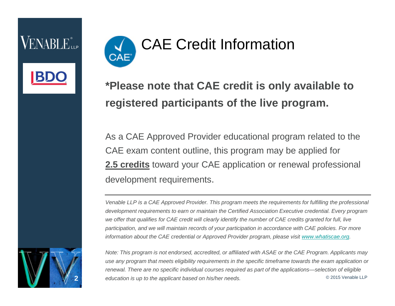VENABLE®



#### **\*Please note that CAE credit is only available to registered participants of the live program.**

As a CAE Approved Provider educational program related to the CAE exam content outline, this program may be applied for **2.5 credits** toward your CAE application or renewal professional development requirements.

*Venable LLP is a CAE Approved Provider. This program meets the requirements for fulfilling the professional development requirements to earn or maintain the Certified Association Executive credential. Every program we offer that qualifies for CAE credit will clearly identify the number of CAE credits granted for full, live participation, and we will maintain records of your participation in accordance with CAE policies. For more information about the CAE credential or Approved Provider program, please visit www.whatiscae.org.* 

2

*Note: This program is not endorsed, accredited, or affiliated with ASAE or the CAE Program. Applicants may use any program that meets eligibility requirements in the specific timeframe towards the exam application or renewal. There are no specific individual courses required as part of the applications—selection of eligible* **2** *education is up to the applicant based on his/her needs.* © 2015 Venable LLP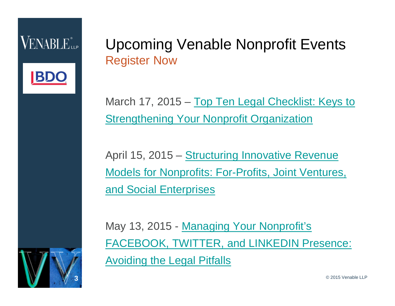

#### Upcoming Venable Nonprofit Events Register Now

March 17, 2015 – Top Ten Legal Checklist: Keys to **Strengthening Your Nonprofit Organization** 

April 15, 2015 – Structuring Innovative Revenue Models for Nonprofits: For-Profits, Joint Ventures, and Social Enterprises

May 13, 2015 - Managing Your Nonprofit's FACEBOOK, TWITTER, and LINKEDIN Presence: Avoiding the Legal Pitfalls

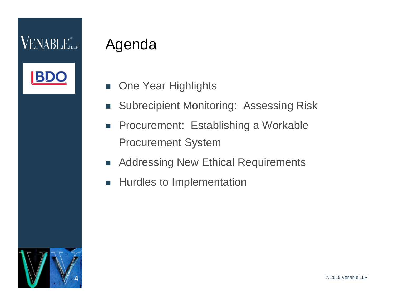#### Agenda

- **n** One Year Highlights
- **Subrecipient Monitoring: Assessing Risk**
- **Procurement: Establishing a Workable** Procurement System
- Addressing New Ethical Requirements
- **Hurdles to Implementation**

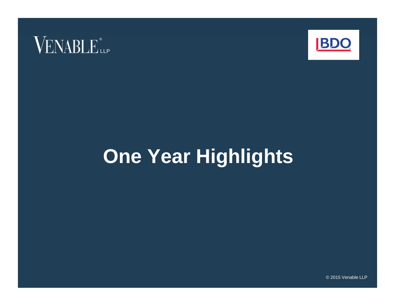



# **One Year Highlights**

© 2015 Venable LLP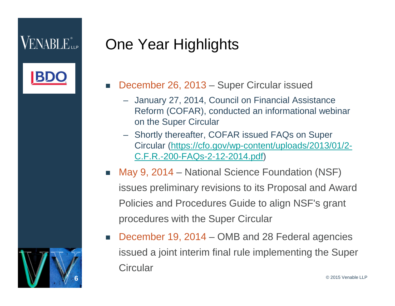#### $VENABLE_{\scriptscriptstyle{\text{LLP}}}$

6

# One Year Highlights

- December 26, 2013 Super Circular issued
	- January 27, 2014, Council on Financial Assistance Reform (COFAR), conducted an informational webinar on the Super Circular
	- Shortly thereafter, COFAR issued FAQs on Super Circular (https://cfo.gov/wp-content/uploads/2013/01/2- C.F.R.-200-FAQs-2-12-2014.pdf)
- May 9, 2014 National Science Foundation (NSF) issues preliminary revisions to its Proposal and Award Policies and Procedures Guide to align NSF's grant procedures with the Super Circular
- December 19, 2014 OMB and 28 Federal agencies issued a joint interim final rule implementing the Super **Circular**

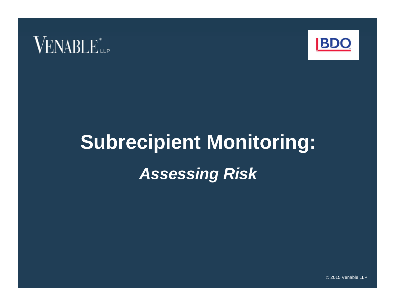



# **Subrecipient Monitoring:** *Assessing Risk*

© 2015 Venable LLP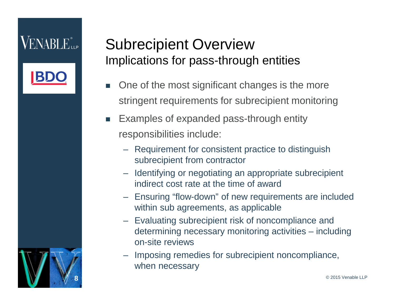

#### Subrecipient Overview Implications for pass-through entities

- One of the most significant changes is the more stringent requirements for subrecipient monitoring
- Examples of expanded pass-through entity responsibilities include:
	- Requirement for consistent practice to distinguish subrecipient from contractor
	- Identifying or negotiating an appropriate subrecipient indirect cost rate at the time of award
	- Ensuring "flow-down" of new requirements are included within sub agreements, as applicable
	- Evaluating subrecipient risk of noncompliance and determining necessary monitoring activities – including on-site reviews
	- Imposing remedies for subrecipient noncompliance, when necessary

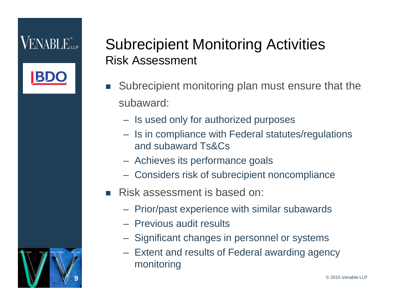9



- Subrecipient monitoring plan must ensure that the subaward:
	- Is used only for authorized purposes
	- Is in compliance with Federal statutes/regulations and subaward Ts&Cs
	- Achieves its performance goals
	- Considers risk of subrecipient noncompliance
- Risk assessment is based on:
	- Prior/past experience with similar subawards
	- Previous audit results
	- Significant changes in personnel or systems
	- Extent and results of Federal awarding agency monitoring

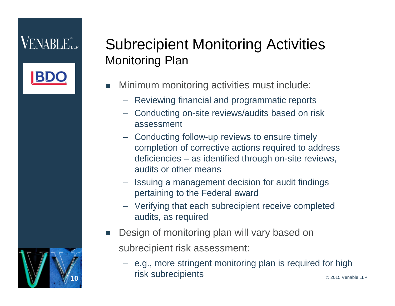

#### Subrecipient Monitoring Activities Monitoring Plan

- Minimum monitoring activities must include:
	- Reviewing financial and programmatic reports
	- Conducting on-site reviews/audits based on risk assessment
	- Conducting follow-up reviews to ensure timely completion of corrective actions required to address deficiencies – as identified through on-site reviews, audits or other means
	- Issuing a management decision for audit findings pertaining to the Federal award
	- Verifying that each subrecipient receive completed audits, as required
- Design of monitoring plan will vary based on subrecipient risk assessment:
	- e.g., more stringent monitoring plan is required for high **100 risk subrecipients**  $\bullet$  2015 Venable LLP

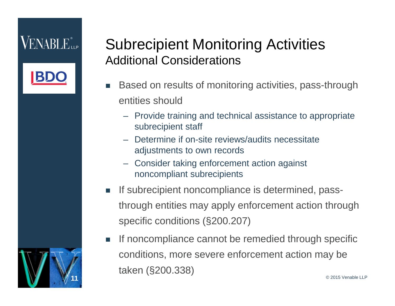

#### Subrecipient Monitoring Activities Additional Considerations

- Based on results of monitoring activities, pass-through entities should
	- Provide training and technical assistance to appropriate subrecipient staff
	- Determine if on-site reviews/audits necessitate adjustments to own records
	- Consider taking enforcement action against noncompliant subrecipients
- If subrecipient noncompliance is determined, passthrough entities may apply enforcement action through specific conditions (§200.207)
- If noncompliance cannot be remedied through specific conditions, more severe enforcement action may be taken (§200.338) **11** © 2015 Venable LLP

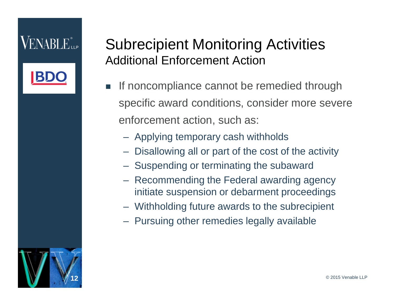

#### Subrecipient Monitoring Activities Additional Enforcement Action

- If noncompliance cannot be remedied through specific award conditions, consider more severe enforcement action, such as:
	- Applying temporary cash withholds
	- Disallowing all or part of the cost of the activity
	- Suspending or terminating the subaward
	- Recommending the Federal awarding agency initiate suspension or debarment proceedings
	- Withholding future awards to the subrecipient
	- Pursuing other remedies legally available

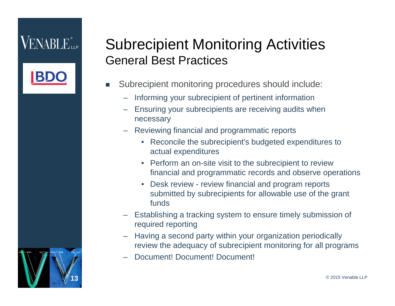

- Subrecipient monitoring procedures should include:
	- Informing your subrecipient of pertinent information
	- Ensuring your subrecipients are receiving audits when necessary
	- Reviewing financial and programmatic reports
		- Reconcile the subrecipient's budgeted expenditures to actual expenditures
		- Perform an on-site visit to the subrecipient to review financial and programmatic records and observe operations
		- Desk review review financial and program reports submitted by subrecipients for allowable use of the grant funds
	- Establishing a tracking system to ensure timely submission of required reporting
	- Having a second party within your organization periodically review the adequacy of subrecipient monitoring for all programs
	- Document! Document! Document!

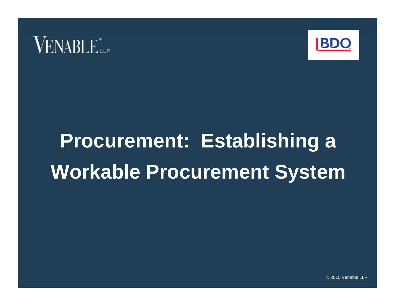



# **Procurement: Establishing a Workable Procurement System**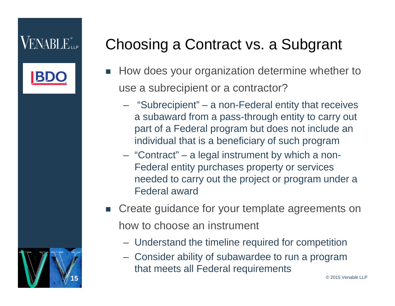

 $\ddot{\phantom{0}}$ 

## Choosing a Contract vs. a Subgrant

- How does your organization determine whether to use a subrecipient or a contractor?
	- "Subrecipient" a non-Federal entity that receives a subaward from a pass-through entity to carry out part of a Federal program but does not include an individual that is a beneficiary of such program
	- "Contract" a legal instrument by which a non-Federal entity purchases property or services needed to carry out the project or program under a Federal award
- Create guidance for your template agreements on how to choose an instrument
	- Understand the timeline required for competition
	- Consider ability of subawardee to run a program that meets all Federal requirements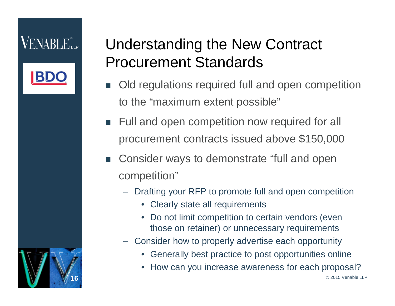

 $\overline{\phantom{a}}$ 

## Understanding the New Contract Procurement Standards

- Old regulations required full and open competition to the "maximum extent possible"
- Full and open competition now required for all procurement contracts issued above \$150,000
- Consider ways to demonstrate "full and open competition"
	- Drafting your RFP to promote full and open competition
		- Clearly state all requirements
		- Do not limit competition to certain vendors (even those on retainer) or unnecessary requirements
	- Consider how to properly advertise each opportunity
		- Generally best practice to post opportunities online
		- How can you increase awareness for each proposal?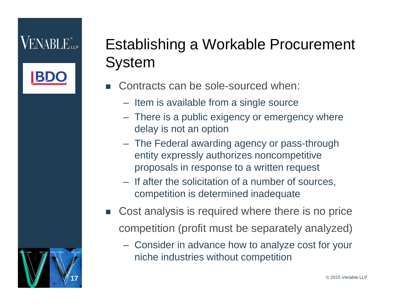#### VENABLE"...

# Establishing a Workable Procurement System

- Contracts can be sole-sourced when:
	- Item is available from a single source
	- There is a public exigency or emergency where delay is not an option
	- The Federal awarding agency or pass-through entity expressly authorizes noncompetitive proposals in response to a written request
	- If after the solicitation of a number of sources, competition is determined inadequate
- Cost analysis is required where there is no price competition (profit must be separately analyzed)
	- Consider in advance how to analyze cost for your niche industries without competition

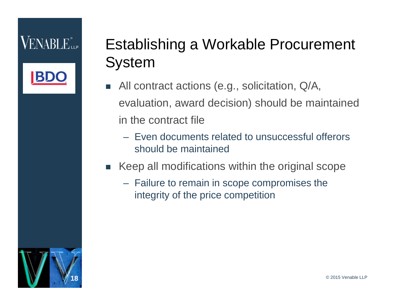# Establishing a Workable Procurement System

- All contract actions (e.g., solicitation, Q/A, evaluation, award decision) should be maintained in the contract file
	- Even documents related to unsuccessful offerors should be maintained
- Keep all modifications within the original scope
	- Failure to remain in scope compromises the integrity of the price competition

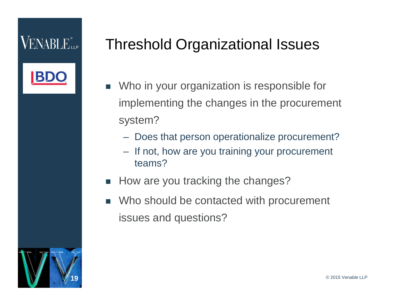#### Threshold Organizational Issues

- Who in your organization is responsible for implementing the changes in the procurement system?
	- Does that person operationalize procurement?
	- If not, how are you training your procurement teams?
- How are you tracking the changes?
- Who should be contacted with procurement issues and questions?

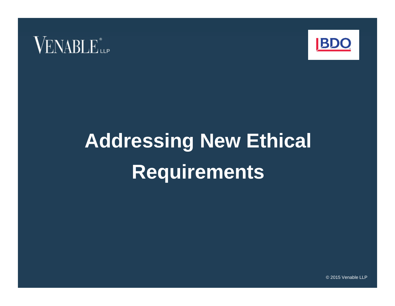



# **Addressing New Ethical Requirements**

© 2015 Venable LLP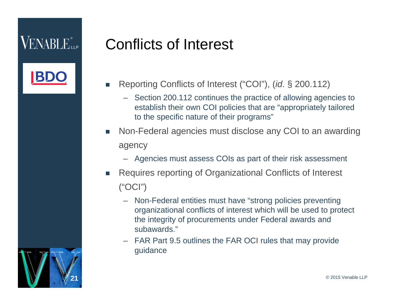#### Conflicts of Interest

- Reporting Conflicts of Interest ("COI"), (*id*. § 200.112)
	- Section 200.112 continues the practice of allowing agencies to establish their own COI policies that are "appropriately tailored to the specific nature of their programs"
- Non-Federal agencies must disclose any COI to an awarding agency
	- Agencies must assess COIs as part of their risk assessment
- Requires reporting of Organizational Conflicts of Interest ("OCI")
	- Non-Federal entities must have "strong policies preventing organizational conflicts of interest which will be used to protect the integrity of procurements under Federal awards and subawards."
	- FAR Part 9.5 outlines the FAR OCI rules that may provide guidance

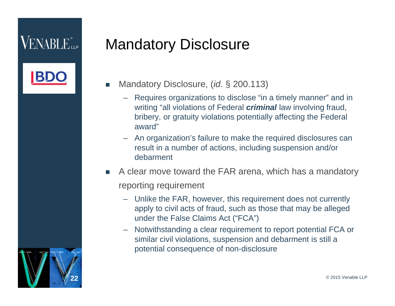

## Mandatory Disclosure

- Mandatory Disclosure, *(id.* § 200.113)
	- Requires organizations to disclose "in a timely manner" and in writing "all violations of Federal *criminal* law involving fraud, bribery, or gratuity violations potentially affecting the Federal award"
	- An organization's failure to make the required disclosures can result in a number of actions, including suspension and/or debarment
- A clear move toward the FAR arena, which has a mandatory reporting requirement
	- Unlike the FAR, however, this requirement does not currently apply to civil acts of fraud, such as those that may be alleged under the False Claims Act ("FCA")
	- Notwithstanding a clear requirement to report potential FCA or similar civil violations, suspension and debarment is still a potential consequence of non-disclosure

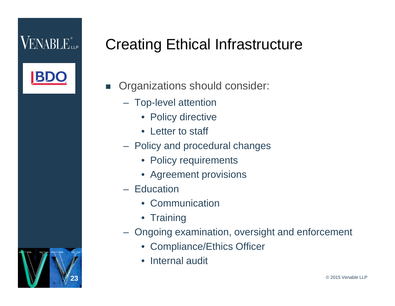$\overline{\phantom{a}}$ 

### Creating Ethical Infrastructure

Organizations should consider:

- Top-level attention
	- Policy directive
	- Letter to staff
- Policy and procedural changes
	- Policy requirements
	- Agreement provisions
- Education
	- Communication
	- Training
- Ongoing examination, oversight and enforcement
	- Compliance/Ethics Officer
	- Internal audit

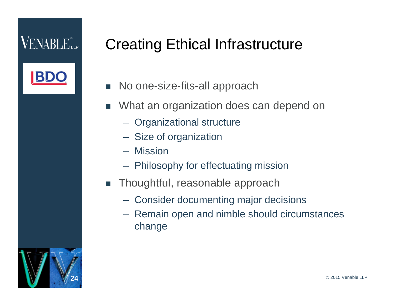#### Creating Ethical Infrastructure

- No one-size-fits-all approach
- What an organization does can depend on
	- Organizational structure
	- Size of organization
	- Mission
	- Philosophy for effectuating mission
- **Thoughtful, reasonable approach** 
	- Consider documenting major decisions
	- Remain open and nimble should circumstances change

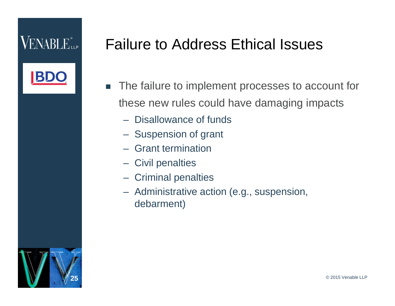#### Failure to Address Ethical Issues

- The failure to implement processes to account for these new rules could have damaging impacts
	- Disallowance of funds
	- Suspension of grant
	- Grant termination
	- Civil penalties
	- Criminal penalties
	- Administrative action (e.g., suspension, debarment)

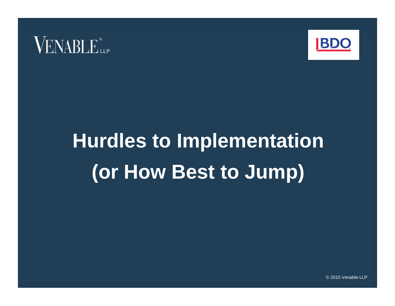



# **Hurdles to Implementation (or How Best to Jump)**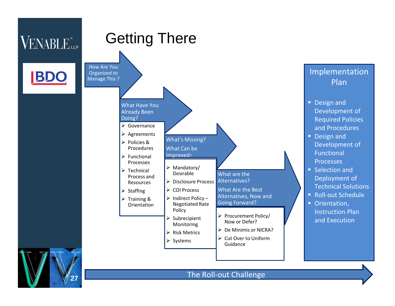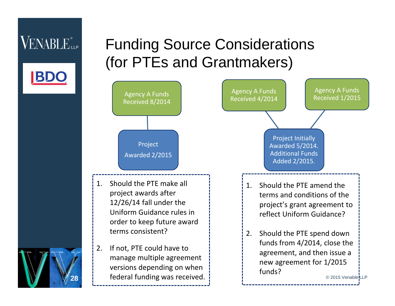#### Funding Source Considerations (for PTEs and Grantmakers)



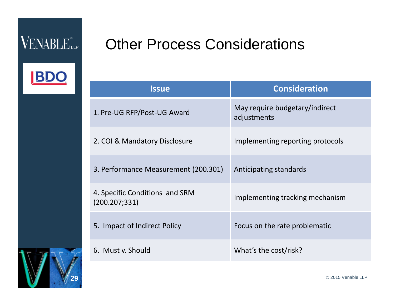BI

#### Other Process Considerations

| <b>Issue</b>                                     | <b>Consideration</b>                          |
|--------------------------------------------------|-----------------------------------------------|
| 1. Pre-UG RFP/Post-UG Award                      | May require budgetary/indirect<br>adjustments |
| 2. COI & Mandatory Disclosure                    | Implementing reporting protocols              |
| 3. Performance Measurement (200.301)             | Anticipating standards                        |
| 4. Specific Conditions and SRM<br>(200.207; 331) | Implementing tracking mechanism               |
| 5. Impact of Indirect Policy                     | Focus on the rate problematic                 |
| 6. Must v. Should                                | What's the cost/risk?                         |



**29** © 2015 Venable LLP